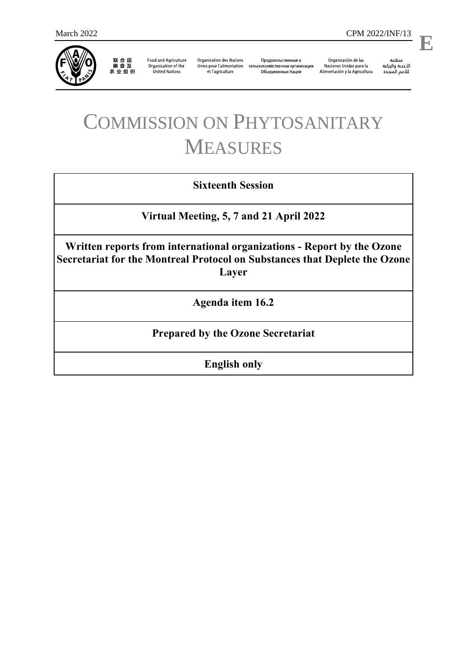

联合国<br>粮食及<br>农业组织

**Food and Agriculture** Organization of the **United Nations** 

**Organisation des Nations** et l'agriculture

Продовольственная и Unies pour l'alimentation сельскохозяйственная организация Объединенных Наций

Organización de las Naciones Unidas para la Alimentación y la Agricultura

منظمة ستنسه<br>الأغذية والزراعة<br>للأمم المتددة

l,

**E**

## COMMISSION ON PHYTOSANITARY MEASURES

## **Sixteenth Session**

**Virtual Meeting, 5, 7 and 21 April 2022**

**Written reports from international organizations - Report by the Ozone Secretariat for the Montreal Protocol on Substances that Deplete the Ozone Layer**

**Agenda item 16.2**

## **Prepared by the Ozone Secretariat**

**English only**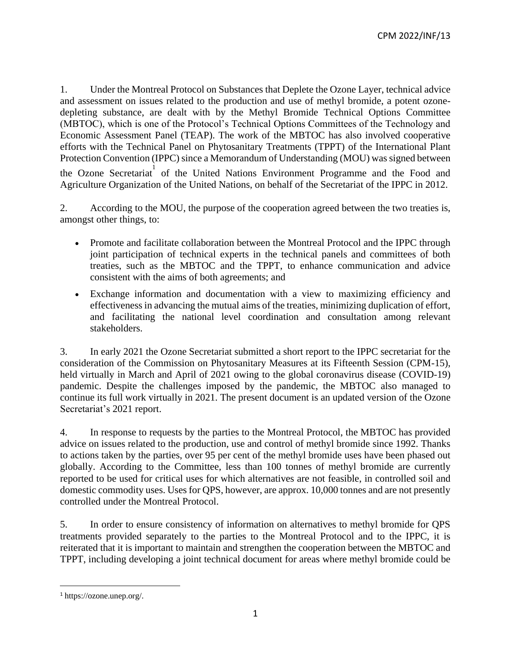1. Under the Montreal Protocol on Substances that Deplete the Ozone Layer, technical advice and assessment on issues related to the production and use of methyl bromide, a potent ozonedepleting substance, are dealt with by the Methyl Bromide Technical Options Committee (MBTOC), which is one of the Protocol's Technical Options Committees of the Technology and Economic Assessment Panel (TEAP). The work of the MBTOC has also involved cooperative efforts with the Technical Panel on Phytosanitary Treatments (TPPT) of the International Plant Protection Convention (IPPC) since a Memorandum of Understanding (MOU) was signed between the Ozone Secretariat of the United Nations Environment Programme and the Food and Agriculture Organization of the United Nations, on behalf of the Secretariat of the IPPC in 2012.

2. According to the MOU, the purpose of the cooperation agreed between the two treaties is, amongst other things, to:

- Promote and facilitate collaboration between the Montreal Protocol and the IPPC through joint participation of technical experts in the technical panels and committees of both treaties, such as the MBTOC and the TPPT, to enhance communication and advice consistent with the aims of both agreements; and
- Exchange information and documentation with a view to maximizing efficiency and effectiveness in advancing the mutual aims of the treaties, minimizing duplication of effort, and facilitating the national level coordination and consultation among relevant stakeholders.

3. In early 2021 the Ozone Secretariat submitted a short report to the IPPC secretariat for the consideration of the Commission on Phytosanitary Measures at its Fifteenth Session (CPM-15), held virtually in March and April of 2021 owing to the global coronavirus disease (COVID-19) pandemic. Despite the challenges imposed by the pandemic, the MBTOC also managed to continue its full work virtually in 2021. The present document is an updated version of the Ozone Secretariat's 2021 report.

4. In response to requests by the parties to the Montreal Protocol, the MBTOC has provided advice on issues related to the production, use and control of methyl bromide since 1992. Thanks to actions taken by the parties, over 95 per cent of the methyl bromide uses have been phased out globally. According to the Committee, less than 100 tonnes of methyl bromide are currently reported to be used for critical uses for which alternatives are not feasible, in controlled soil and domestic commodity uses. Uses for QPS, however, are approx. 10,000 tonnes and are not presently controlled under the Montreal Protocol.

5. In order to ensure consistency of information on alternatives to methyl bromide for QPS treatments provided separately to the parties to the Montreal Protocol and to the IPPC, it is reiterated that it is important to maintain and strengthen the cooperation between the MBTOC and TPPT, including developing a joint technical document for areas where methyl bromide could be

 $\overline{a}$ 

<sup>1</sup> https://ozone.unep.org/.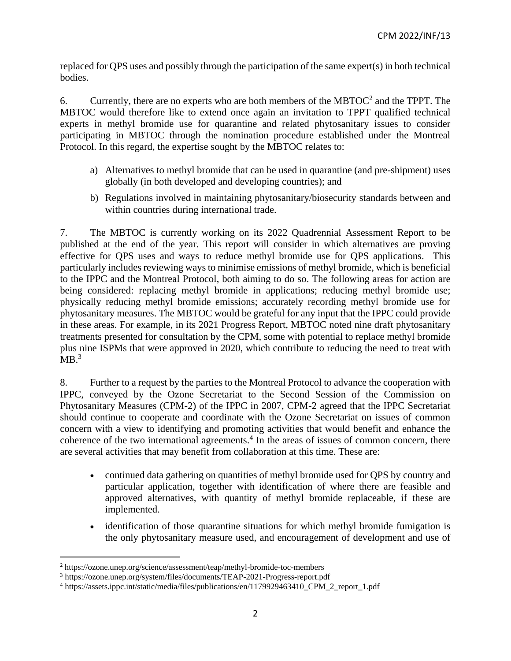replaced for QPS uses and possibly through the participation of the same expert(s) in both technical bodies.

6. Currently, there are no experts who are both members of the MBTOC<sup>2</sup> and the TPPT. The MBTOC would therefore like to extend once again an invitation to TPPT qualified technical experts in methyl bromide use for quarantine and related phytosanitary issues to consider participating in MBTOC through the nomination procedure established under the Montreal Protocol. In this regard, the expertise sought by the MBTOC relates to:

- a) Alternatives to methyl bromide that can be used in quarantine (and pre-shipment) uses globally (in both developed and developing countries); and
- b) Regulations involved in maintaining phytosanitary/biosecurity standards between and within countries during international trade.

7. The MBTOC is currently working on its 2022 Quadrennial Assessment Report to be published at the end of the year. This report will consider in which alternatives are proving effective for QPS uses and ways to reduce methyl bromide use for QPS applications. This particularly includes reviewing ways to minimise emissions of methyl bromide, which is beneficial to the IPPC and the Montreal Protocol, both aiming to do so. The following areas for action are being considered: replacing methyl bromide in applications; reducing methyl bromide use; physically reducing methyl bromide emissions; accurately recording methyl bromide use for phytosanitary measures. The MBTOC would be grateful for any input that the IPPC could provide in these areas. For example, in its 2021 Progress Report, MBTOC noted nine draft phytosanitary treatments presented for consultation by the CPM, some with potential to replace methyl bromide plus nine ISPMs that were approved in 2020, which contribute to reducing the need to treat with  $MB.<sup>3</sup>$ 

8. Further to a request by the parties to the Montreal Protocol to advance the cooperation with IPPC, conveyed by the Ozone Secretariat to the Second Session of the Commission on Phytosanitary Measures (CPM-2) of the IPPC in 2007, CPM-2 agreed that the IPPC Secretariat should continue to cooperate and coordinate with the Ozone Secretariat on issues of common concern with a view to identifying and promoting activities that would benefit and enhance the coherence of the two international agreements.<sup>4</sup> In the areas of issues of common concern, there are several activities that may benefit from collaboration at this time. These are:

- continued data gathering on quantities of methyl bromide used for QPS by country and particular application, together with identification of where there are feasible and approved alternatives, with quantity of methyl bromide replaceable, if these are implemented.
- identification of those quarantine situations for which methyl bromide fumigation is the only phytosanitary measure used, and encouragement of development and use of

 $\overline{a}$ 

<sup>2</sup> https://ozone.unep.org/science/assessment/teap/methyl-bromide-toc-members

<sup>3</sup> https://ozone.unep.org/system/files/documents/TEAP-2021-Progress-report.pdf

<sup>4</sup> https://assets.ippc.int/static/media/files/publications/en/1179929463410\_CPM\_2\_report\_1.pdf